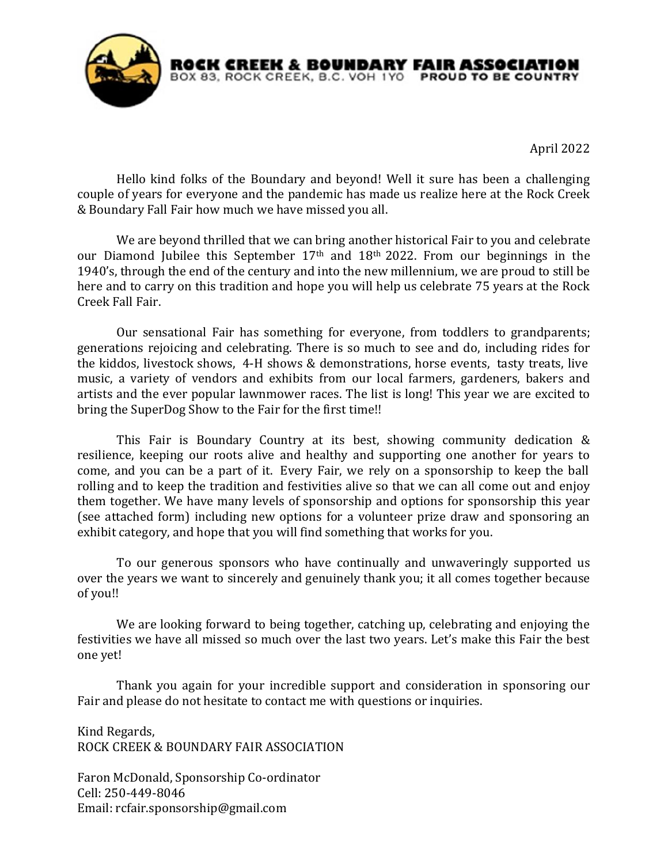

April 2022

Hello kind folks of the Boundary and beyond! Well it sure has been a challenging couple of years for everyone and the pandemic has made us realize here at the Rock Creek & Boundary Fall Fair how much we have missed you all.

We are beyond thrilled that we can bring another historical Fair to you and celebrate our Diamond Jubilee this September 17th and 18th 2022. From our beginnings in the 1940's, through the end of the century and into the new millennium, we are proud to still be here and to carry on this tradition and hope you will help us celebrate 75 years at the Rock Creek Fall Fair.

Our sensational Fair has something for everyone, from toddlers to grandparents; generations rejoicing and celebrating. There is so much to see and do, including rides for the kiddos, livestock shows, 4-H shows & demonstrations, horse events, tasty treats, live music, a variety of vendors and exhibits from our local farmers, gardeners, bakers and artists and the ever popular lawnmower races. The list is long! This year we are excited to bring the SuperDog Show to the Fair for the first time!!

This Fair is Boundary Country at its best, showing community dedication & resilience, keeping our roots alive and healthy and supporting one another for years to come, and you can be a part of it. Every Fair, we rely on a sponsorship to keep the ball rolling and to keep the tradition and festivities alive so that we can all come out and enjoy them together. We have many levels of sponsorship and options for sponsorship this year (see attached form) including new options for a volunteer prize draw and sponsoring an exhibit category, and hope that you will find something that works for you.

To our generous sponsors who have continually and unwaveringly supported us over the years we want to sincerely and genuinely thank you; it all comes together because of you!!

We are looking forward to being together, catching up, celebrating and enjoying the festivities we have all missed so much over the last two years. Let's make this Fair the best one yet!

Thank you again for your incredible support and consideration in sponsoring our Fair and please do not hesitate to contact me with questions or inquiries.

Kind Regards, ROCK CREEK & BOUNDARY FAIR ASSOCIATION

Faron McDonald, Sponsorship Co-ordinator Cell: 250-449-8046 Email: rcfair.sponsorship@gmail.com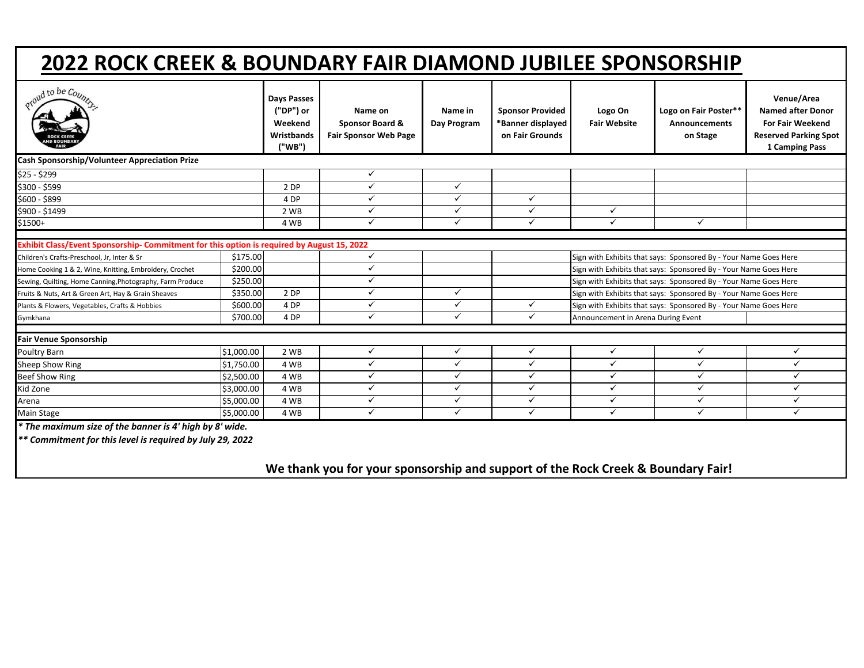## **2022 ROCK CREEK & BOUNDARY FAIR DIAMOND JUBILEE SPONSORSHIP**

| oud to be Coup.                                                                                                      |            | <b>Days Passes</b><br>("DP") or<br>Weekend<br>Wristbands<br>("WB") | Name on<br><b>Sponsor Board &amp;</b><br><b>Fair Sponsor Web Page</b> | Name in<br>Day Program | <b>Sponsor Provided</b><br>*Banner displayed<br>on Fair Grounds | Logo On<br><b>Fair Website</b>                                   | Logo on Fair Poster**<br><b>Announcements</b><br>on Stage | Venue/Area<br><b>Named after Donor</b><br><b>For Fair Weekend</b><br><b>Reserved Parking Spot</b><br>1 Camping Pass |
|----------------------------------------------------------------------------------------------------------------------|------------|--------------------------------------------------------------------|-----------------------------------------------------------------------|------------------------|-----------------------------------------------------------------|------------------------------------------------------------------|-----------------------------------------------------------|---------------------------------------------------------------------------------------------------------------------|
| Cash Sponsorship/Volunteer Appreciation Prize                                                                        |            |                                                                    |                                                                       |                        |                                                                 |                                                                  |                                                           |                                                                                                                     |
| \$25 - \$299                                                                                                         |            |                                                                    | $\checkmark$                                                          |                        |                                                                 |                                                                  |                                                           |                                                                                                                     |
| \$300 - \$599                                                                                                        |            | 2 DP                                                               | $\checkmark$                                                          | $\checkmark$           |                                                                 |                                                                  |                                                           |                                                                                                                     |
| \$600 - \$899                                                                                                        |            | 4 DP                                                               | $\checkmark$                                                          | $\checkmark$           | $\checkmark$                                                    |                                                                  |                                                           |                                                                                                                     |
| \$900 - \$1499                                                                                                       |            | 2 WB                                                               | $\checkmark$                                                          | $\checkmark$           | $\checkmark$                                                    | ✓                                                                |                                                           |                                                                                                                     |
| $$1500+$                                                                                                             |            | 4 WB                                                               | ✓                                                                     | $\checkmark$           | $\checkmark$                                                    | ✓                                                                | ✓                                                         |                                                                                                                     |
| Exhibit Class/Event Sponsorship- Commitment for this option is required by August 15, 2022                           |            |                                                                    |                                                                       |                        |                                                                 |                                                                  |                                                           |                                                                                                                     |
| Children's Crafts-Preschool, Jr, Inter & Sr                                                                          | \$175.00   |                                                                    | ✓                                                                     |                        |                                                                 | Sign with Exhibits that says: Sponsored By - Your Name Goes Here |                                                           |                                                                                                                     |
| Home Cooking 1 & 2, Wine, Knitting, Embroidery, Crochet                                                              | \$200.00   |                                                                    | ✓                                                                     |                        |                                                                 | Sign with Exhibits that says: Sponsored By - Your Name Goes Here |                                                           |                                                                                                                     |
| Sewing, Quilting, Home Canning, Photography, Farm Produce                                                            | \$250.00   |                                                                    | ✓                                                                     |                        |                                                                 | Sign with Exhibits that says: Sponsored By - Your Name Goes Here |                                                           |                                                                                                                     |
| Fruits & Nuts, Art & Green Art, Hay & Grain Sheaves                                                                  | \$350.00   | 2 DP                                                               | ✓                                                                     | $\checkmark$           |                                                                 | Sign with Exhibits that says: Sponsored By - Your Name Goes Here |                                                           |                                                                                                                     |
| Plants & Flowers, Vegetables, Crafts & Hobbies                                                                       | \$600.00   | 4 DP                                                               | ✓                                                                     | $\checkmark$           | $\checkmark$                                                    | Sign with Exhibits that says: Sponsored By - Your Name Goes Here |                                                           |                                                                                                                     |
| Gymkhana                                                                                                             | \$700.00   | 4 DP                                                               | $\checkmark$                                                          | $\checkmark$           | $\checkmark$                                                    | Announcement in Arena During Event                               |                                                           |                                                                                                                     |
| <b>Fair Venue Sponsorship</b>                                                                                        |            |                                                                    |                                                                       |                        |                                                                 |                                                                  |                                                           |                                                                                                                     |
| Poultry Barn                                                                                                         | \$1,000.00 | 2 WB                                                               | $\checkmark$                                                          | ✓                      | ✓                                                               | $\checkmark$                                                     | $\checkmark$                                              | $\checkmark$                                                                                                        |
| Sheep Show Ring                                                                                                      | \$1,750.00 | 4 WB                                                               | ✓                                                                     | $\checkmark$           | ✓                                                               | ✓                                                                | ✓                                                         | $\checkmark$                                                                                                        |
| <b>Beef Show Ring</b>                                                                                                | \$2,500.00 | 4 WB                                                               | ✓                                                                     | $\checkmark$           | ✓                                                               | ✓                                                                | ✓                                                         | $\checkmark$                                                                                                        |
| Kid Zone                                                                                                             | \$3,000.00 | 4 WB                                                               | $\checkmark$                                                          | $\checkmark$           | $\checkmark$                                                    | ✓                                                                | ✓                                                         | $\checkmark$                                                                                                        |
| Arena                                                                                                                | \$5,000.00 | 4 WB                                                               | $\checkmark$                                                          | $\checkmark$           | $\checkmark$                                                    | ✓                                                                | $\checkmark$                                              | $\checkmark$                                                                                                        |
| Main Stage                                                                                                           | \$5,000.00 | 4 WB                                                               | $\checkmark$                                                          | $\checkmark$           | $\checkmark$                                                    | ✓                                                                | ✓                                                         | $\checkmark$                                                                                                        |
| * The maximum size of the banner is 4' high by 8' wide.<br>** Commitment for this level is required by July 29, 2022 |            |                                                                    |                                                                       |                        |                                                                 |                                                                  |                                                           |                                                                                                                     |

**We thank you for your sponsorship and support of the Rock Creek & Boundary Fair!**